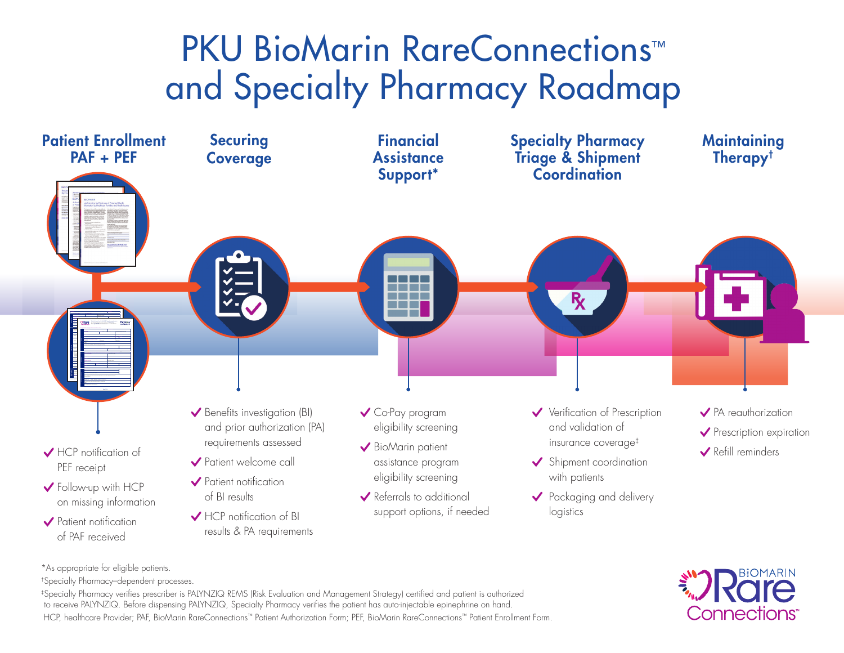# PKU BioMarin RareConnections™ and Specialty Pharmacy Roadmap



\*As appropriate for eligible patients.

†Specialty Pharmacy–dependent processes.

‡Specialty Pharmacy verifies prescriber is PALYNZIQ REMS (Risk Evaluation and Management Strategy) certified and patient is authorized to receive PALYNZIQ. Before dispensing PALYNZIQ, Specialty Pharmacy verifies the patient has auto-injectable epinephrine on hand. HCP, healthcare Provider; PAF, BioMarin RareConnections™ Patient Authorization Form; PEF, BioMarin RareConnections™ Patient Enrollment Form.

# Connections